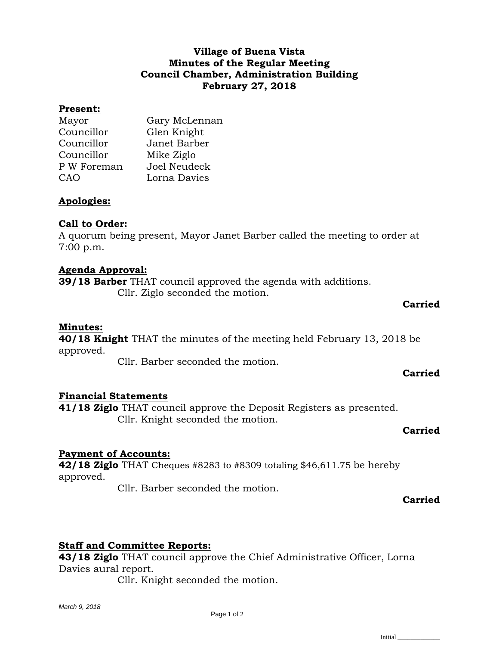## **Village of Buena Vista Minutes of the Regular Meeting Council Chamber, Administration Building February 27, 2018**

#### **Present:**

| Mayor       | Gary McLennan |
|-------------|---------------|
| Councillor  | Glen Knight   |
| Councillor  | Janet Barber  |
| Councillor  | Mike Ziglo    |
| P W Foreman | Joel Neudeck  |
| CAO         | Lorna Davies  |

## **Apologies:**

## **Call to Order:**

A quorum being present, Mayor Janet Barber called the meeting to order at 7:00 p.m.

#### **Agenda Approval:**

**39/18 Barber** THAT council approved the agenda with additions. Cllr. Ziglo seconded the motion.

#### **Carried**

#### **Minutes:**

**40/18 Knight** THAT the minutes of the meeting held February 13, 2018 be approved.

Cllr. Barber seconded the motion.

# **Financial Statements**

**41/18 Ziglo** THAT council approve the Deposit Registers as presented. Cllr. Knight seconded the motion.

#### **Carried**

**Carried**

## **Payment of Accounts:**

**42/18 Ziglo** THAT Cheques #8283 to #8309 totaling \$46,611.75 be hereby approved.

Cllr. Barber seconded the motion.

#### **Carried**

## **Staff and Committee Reports:**

**43/18 Ziglo** THAT council approve the Chief Administrative Officer, Lorna Davies aural report.

Cllr. Knight seconded the motion.

Initial